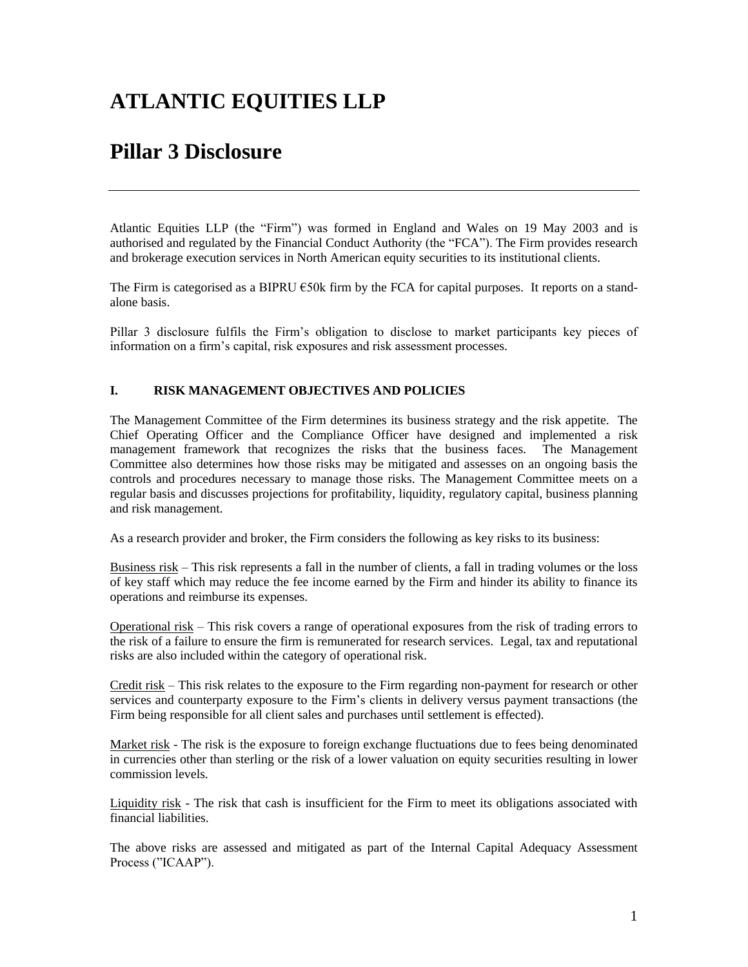# **ATLANTIC EQUITIES LLP**

## **Pillar 3 Disclosure**

Atlantic Equities LLP (the "Firm") was formed in England and Wales on 19 May 2003 and is authorised and regulated by the Financial Conduct Authority (the "FCA"). The Firm provides research and brokerage execution services in North American equity securities to its institutional clients.

The Firm is categorised as a BIPRU  $\epsilon$ 50k firm by the FCA for capital purposes. It reports on a standalone basis.

Pillar 3 disclosure fulfils the Firm's obligation to disclose to market participants key pieces of information on a firm's capital, risk exposures and risk assessment processes.

### **I. RISK MANAGEMENT OBJECTIVES AND POLICIES**

The Management Committee of the Firm determines its business strategy and the risk appetite. The Chief Operating Officer and the Compliance Officer have designed and implemented a risk management framework that recognizes the risks that the business faces. The Management Committee also determines how those risks may be mitigated and assesses on an ongoing basis the controls and procedures necessary to manage those risks. The Management Committee meets on a regular basis and discusses projections for profitability, liquidity, regulatory capital, business planning and risk management.

As a research provider and broker, the Firm considers the following as key risks to its business:

Business risk – This risk represents a fall in the number of clients, a fall in trading volumes or the loss of key staff which may reduce the fee income earned by the Firm and hinder its ability to finance its operations and reimburse its expenses.

Operational risk – This risk covers a range of operational exposures from the risk of trading errors to the risk of a failure to ensure the firm is remunerated for research services. Legal, tax and reputational risks are also included within the category of operational risk.

Credit risk – This risk relates to the exposure to the Firm regarding non-payment for research or other services and counterparty exposure to the Firm's clients in delivery versus payment transactions (the Firm being responsible for all client sales and purchases until settlement is effected).

Market risk - The risk is the exposure to foreign exchange fluctuations due to fees being denominated in currencies other than sterling or the risk of a lower valuation on equity securities resulting in lower commission levels.

Liquidity risk - The risk that cash is insufficient for the Firm to meet its obligations associated with financial liabilities.

The above risks are assessed and mitigated as part of the Internal Capital Adequacy Assessment Process ("ICAAP").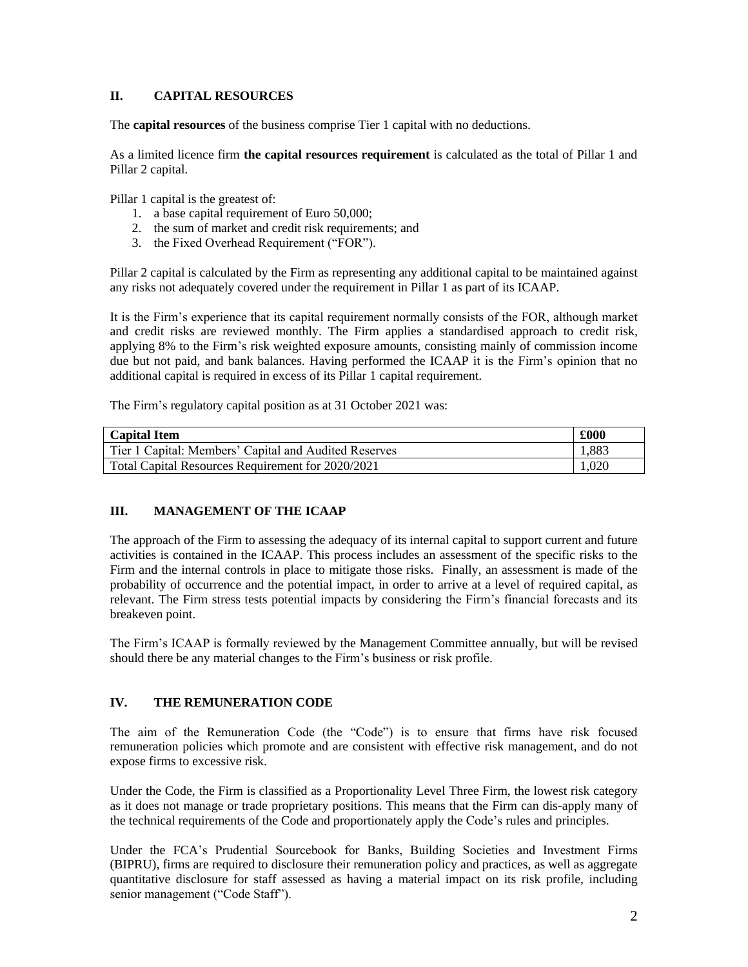### **II. CAPITAL RESOURCES**

The **capital resources** of the business comprise Tier 1 capital with no deductions.

As a limited licence firm **the capital resources requirement** is calculated as the total of Pillar 1 and Pillar 2 capital.

Pillar 1 capital is the greatest of:

- 1. a base capital requirement of Euro 50,000;
- 2. the sum of market and credit risk requirements; and
- 3. the Fixed Overhead Requirement ("FOR").

Pillar 2 capital is calculated by the Firm as representing any additional capital to be maintained against any risks not adequately covered under the requirement in Pillar 1 as part of its ICAAP.

It is the Firm's experience that its capital requirement normally consists of the FOR, although market and credit risks are reviewed monthly. The Firm applies a standardised approach to credit risk, applying 8% to the Firm's risk weighted exposure amounts, consisting mainly of commission income due but not paid, and bank balances. Having performed the ICAAP it is the Firm's opinion that no additional capital is required in excess of its Pillar 1 capital requirement.

The Firm's regulatory capital position as at 31 October 2021 was:

| <b>Capital Item</b>                                   | £000  |
|-------------------------------------------------------|-------|
| Tier 1 Capital: Members' Capital and Audited Reserves | 1.883 |
| Total Capital Resources Requirement for 2020/2021     |       |

## **III. MANAGEMENT OF THE ICAAP**

The approach of the Firm to assessing the adequacy of its internal capital to support current and future activities is contained in the ICAAP. This process includes an assessment of the specific risks to the Firm and the internal controls in place to mitigate those risks. Finally, an assessment is made of the probability of occurrence and the potential impact, in order to arrive at a level of required capital, as relevant. The Firm stress tests potential impacts by considering the Firm's financial forecasts and its breakeven point.

The Firm's ICAAP is formally reviewed by the Management Committee annually, but will be revised should there be any material changes to the Firm's business or risk profile.

## **IV. THE REMUNERATION CODE**

The aim of the Remuneration Code (the "Code") is to ensure that firms have risk focused remuneration policies which promote and are consistent with effective risk management, and do not expose firms to excessive risk.

Under the Code, the Firm is classified as a Proportionality Level Three Firm, the lowest risk category as it does not manage or trade proprietary positions. This means that the Firm can dis-apply many of the technical requirements of the Code and proportionately apply the Code's rules and principles.

Under the FCA's Prudential Sourcebook for Banks, Building Societies and Investment Firms (BIPRU), firms are required to disclosure their remuneration policy and practices, as well as aggregate quantitative disclosure for staff assessed as having a material impact on its risk profile, including senior management ("Code Staff").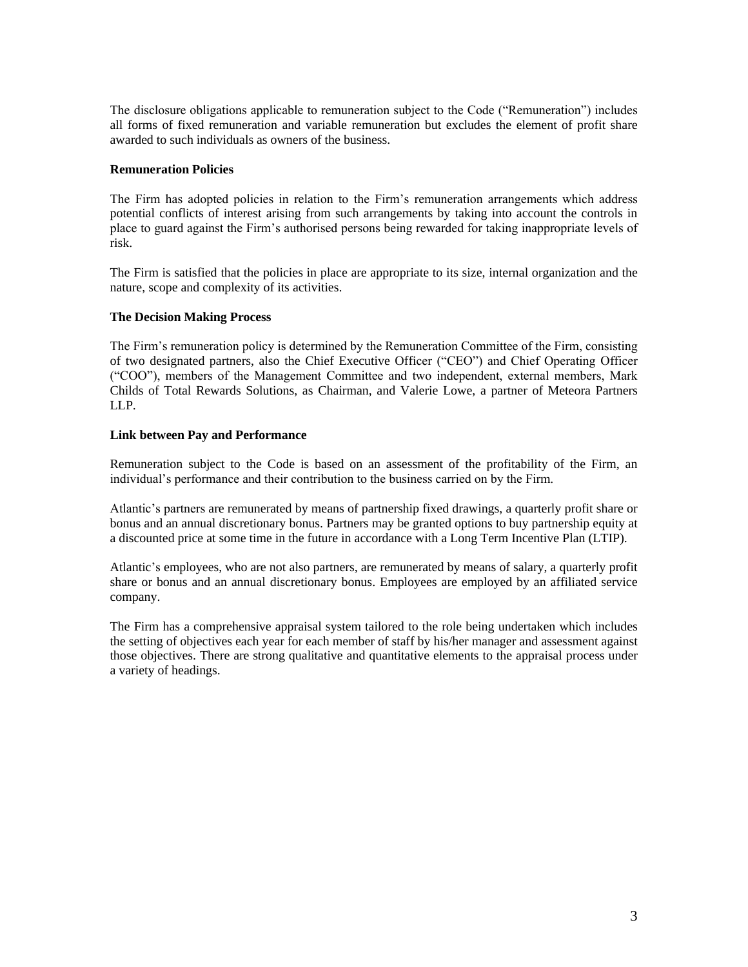The disclosure obligations applicable to remuneration subject to the Code ("Remuneration") includes all forms of fixed remuneration and variable remuneration but excludes the element of profit share awarded to such individuals as owners of the business.

#### **Remuneration Policies**

The Firm has adopted policies in relation to the Firm's remuneration arrangements which address potential conflicts of interest arising from such arrangements by taking into account the controls in place to guard against the Firm's authorised persons being rewarded for taking inappropriate levels of risk.

The Firm is satisfied that the policies in place are appropriate to its size, internal organization and the nature, scope and complexity of its activities.

#### **The Decision Making Process**

The Firm's remuneration policy is determined by the Remuneration Committee of the Firm, consisting of two designated partners, also the Chief Executive Officer ("CEO") and Chief Operating Officer ("COO"), members of the Management Committee and two independent, external members, Mark Childs of Total Rewards Solutions, as Chairman, and Valerie Lowe, a partner of Meteora Partners LLP.

#### **Link between Pay and Performance**

Remuneration subject to the Code is based on an assessment of the profitability of the Firm, an individual's performance and their contribution to the business carried on by the Firm.

Atlantic's partners are remunerated by means of partnership fixed drawings, a quarterly profit share or bonus and an annual discretionary bonus. Partners may be granted options to buy partnership equity at a discounted price at some time in the future in accordance with a Long Term Incentive Plan (LTIP).

Atlantic's employees, who are not also partners, are remunerated by means of salary, a quarterly profit share or bonus and an annual discretionary bonus. Employees are employed by an affiliated service company.

The Firm has a comprehensive appraisal system tailored to the role being undertaken which includes the setting of objectives each year for each member of staff by his/her manager and assessment against those objectives. There are strong qualitative and quantitative elements to the appraisal process under a variety of headings.